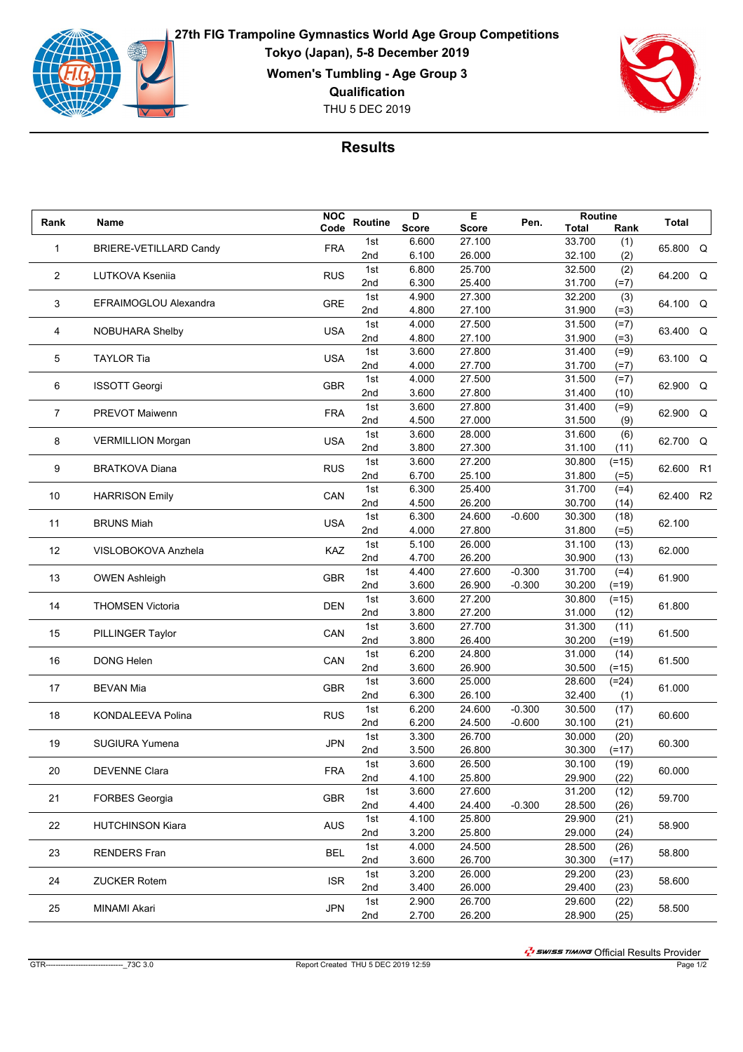

**27th FIG Trampoline Gymnastics World Age Group Competitions Tokyo (Japan), 5-8 December 2019 Women's Tumbling - Age Group 3 Qualification**





## **Results**

| Rank | Name                     | <b>NOC</b> | Routine | D            | Е      | Pen.     | Routine |         | Total    |    |
|------|--------------------------|------------|---------|--------------|--------|----------|---------|---------|----------|----|
|      |                          | Code       |         | <b>Score</b> | Score  |          | Total   | Rank    |          |    |
| 1    | BRIERE-VETILLARD Candy   | <b>FRA</b> | 1st     | 6.600        | 27.100 |          | 33.700  | (1)     | 65.800 Q |    |
|      |                          |            | 2nd     | 6.100        | 26.000 |          | 32.100  | (2)     |          |    |
| 2    | LUTKOVA Ksenija          | <b>RUS</b> | 1st     | 6.800        | 25.700 |          | 32.500  | (2)     | 64.200 Q |    |
|      |                          |            | 2nd     | 6.300        | 25.400 |          | 31.700  | $(=7)$  |          |    |
| 3    | EFRAIMOGLOU Alexandra    | <b>GRE</b> | 1st     | 4.900        | 27.300 |          | 32.200  | (3)     | 64.100 Q |    |
|      |                          |            | 2nd     | 4.800        | 27.100 |          | 31.900  | $(=3)$  |          |    |
| 4    | NOBUHARA Shelby          | <b>USA</b> | 1st     | 4.000        | 27.500 |          | 31.500  | $(=7)$  | 63.400 Q |    |
|      |                          |            | 2nd     | 4.800        | 27.100 |          | 31.900  | $(=3)$  |          |    |
| 5    | <b>TAYLOR Tia</b>        | <b>USA</b> | 1st     | 3.600        | 27.800 |          | 31.400  | $(=9)$  | 63.100 Q |    |
|      |                          |            | 2nd     | 4.000        | 27.700 |          | 31.700  | $(=7)$  |          |    |
| 6    | <b>ISSOTT Georgi</b>     | <b>GBR</b> | 1st     | 4.000        | 27.500 |          | 31.500  | $(=7)$  | 62.900 Q |    |
|      |                          |            | 2nd     | 3.600        | 27.800 |          | 31.400  | (10)    |          |    |
| 7    | PREVOT Maiwenn           | <b>FRA</b> | 1st     | 3.600        | 27.800 |          | 31.400  | $(=9)$  | 62.900 Q |    |
|      |                          |            | 2nd     | 4.500        | 27.000 |          | 31.500  | (9)     |          |    |
| 8    |                          | <b>USA</b> | 1st     | 3.600        | 28.000 |          | 31.600  | (6)     |          | Q  |
|      | <b>VERMILLION Morgan</b> |            | 2nd     | 3.800        | 27.300 |          | 31.100  | (11)    | 62.700   |    |
|      |                          |            | 1st     | 3.600        | 27.200 |          | 30.800  | $(=15)$ |          |    |
| 9    | <b>BRATKOVA Diana</b>    | <b>RUS</b> | 2nd     | 6.700        | 25.100 |          | 31.800  | $(=5)$  | 62.600   | R1 |
|      |                          |            | 1st     | 6.300        | 25.400 |          | 31.700  | $(=4)$  |          |    |
| 10   | <b>HARRISON Emily</b>    | CAN        | 2nd     | 4.500        | 26.200 |          | 30.700  | (14)    | 62.400   | R2 |
|      |                          |            | 1st     | 6.300        | 24.600 | $-0.600$ | 30.300  | (18)    |          |    |
| 11   | <b>BRUNS Miah</b>        | <b>USA</b> | 2nd     | 4.000        | 27.800 |          | 31.800  | $(=5)$  | 62.100   |    |
|      |                          |            | 1st     | 5.100        | 26.000 |          | 31.100  | (13)    |          |    |
| 12   | VISLOBOKOVA Anzhela      | KAZ        | 2nd     | 4.700        | 26.200 |          | 30.900  | (13)    | 62.000   |    |
|      |                          |            | 1st     | 4.400        | 27.600 | $-0.300$ | 31.700  | $(=4)$  |          |    |
| 13   | <b>OWEN Ashleigh</b>     | <b>GBR</b> | 2nd     | 3.600        | 26.900 | $-0.300$ | 30.200  | $(=19)$ | 61.900   |    |
|      |                          |            | 1st     | 3.600        | 27.200 |          | 30.800  | $(=15)$ |          |    |
| 14   | <b>THOMSEN Victoria</b>  | <b>DEN</b> | 2nd     | 3.800        | 27.200 |          | 31.000  | (12)    | 61.800   |    |
|      |                          |            | 1st     | 3.600        | 27.700 |          | 31.300  | (11)    | 61.500   |    |
| 15   | PILLINGER Taylor         | CAN        | 2nd     | 3.800        | 26.400 |          | 30.200  | $(=19)$ |          |    |
|      |                          |            | 1st     | 6.200        | 24.800 |          | 31.000  | (14)    | 61.500   |    |
| 16   | <b>DONG Helen</b>        | CAN        | 2nd     | 3.600        | 26.900 |          | 30.500  | $(=15)$ |          |    |
|      |                          |            | 1st     | 3.600        | 25.000 |          | 28.600  | $(=24)$ |          |    |
| 17   | <b>BEVAN Mia</b>         | <b>GBR</b> | 2nd     | 6.300        | 26.100 |          | 32.400  | (1)     | 61.000   |    |
|      |                          |            | 1st     | 6.200        | 24.600 | $-0.300$ | 30.500  | (17)    |          |    |
| 18   | KONDALEEVA Polina        | <b>RUS</b> | 2nd     | 6.200        | 24.500 | $-0.600$ | 30.100  | (21)    | 60.600   |    |
|      |                          |            | 1st     | 3.300        | 26.700 |          | 30.000  | (20)    |          |    |
| 19   | <b>SUGIURA Yumena</b>    | <b>JPN</b> | 2nd     | 3.500        | 26.800 |          | 30.300  | $(=17)$ | 60.300   |    |
|      |                          |            | 1st     | 3.600        | 26.500 |          | 30.100  | (19)    |          |    |
| 20   | <b>DEVENNE Clara</b>     | <b>FRA</b> | 2nd     | 4.100        | 25.800 |          | 29.900  | (22)    | 60.000   |    |
|      |                          |            | 1st     | 3.600        | 27.600 |          | 31.200  | (12)    |          |    |
| 21   | <b>FORBES Georgia</b>    | <b>GBR</b> | 2nd     | 4.400        | 24.400 | $-0.300$ | 28.500  |         | 59.700   |    |
|      |                          |            | 1st     | 4.100        | 25.800 |          | 29.900  | (26)    |          |    |
| 22   | <b>HUTCHINSON Kiara</b>  | <b>AUS</b> |         |              |        |          |         | (21)    | 58.900   |    |
|      |                          |            | 2nd     | 3.200        | 25.800 |          | 29.000  | (24)    |          |    |
| 23   | <b>RENDERS</b> Fran      | <b>BEL</b> | 1st     | 4.000        | 24.500 |          | 28.500  | (26)    | 58.800   |    |
|      |                          |            | 2nd     | 3.600        | 26.700 |          | 30.300  | $(=17)$ |          |    |
| 24   | <b>ZUCKER Rotem</b>      | <b>ISR</b> | 1st     | 3.200        | 26.000 |          | 29.200  | (23)    | 58.600   |    |
|      |                          |            | 2nd     | 3.400        | 26.000 |          | 29.400  | (23)    |          |    |
| 25   | MINAMI Akari             | <b>JPN</b> | 1st     | 2.900        | 26.700 |          | 29.600  | (22)    | 58.500   |    |
|      |                          |            | 2nd     | 2.700        | 26.200 |          | 28.900  | (25)    |          |    |